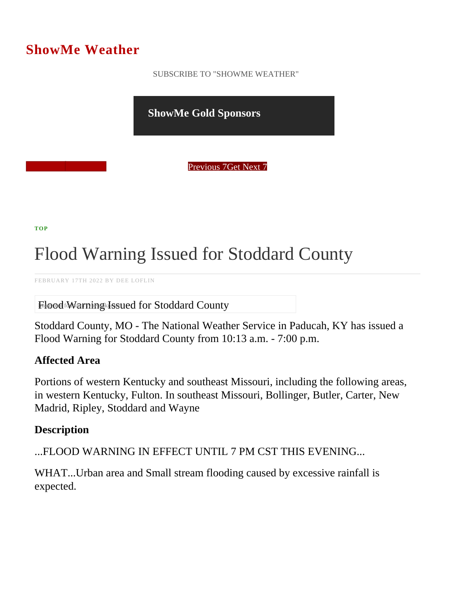## ShowMe Weather

 [SUBSCRIBE TO "SHOWME WEATHER"](/blog_rss.php)

ShowMe Gold Sponsors

Previous Get Next 7

[TOP](/var/www/showmetimes.com/root/javascript:blogScrollToTop()

## Flood Warning Issued for Stoddard County

FEBRUARY 17TH 2022 BY DEE LOFLIN

Flood Warning Issued for Stoddard County

Stoddard County, MO - The National Weather Service in Paducah, KY has issued a Flood Warning for Stoddard County from 10:13 a.m. - 7:00 p.m.

Affected Area

Portions of western Kentucky and southeast Missouri, including the following areas, in western Kentucky, Fulton. In southeast Missouri, Bollinger, Butler, Carter, New Madrid, Ripley, Stoddard and Wayne

**Description** 

...FLOOD WARNING IN EFFECT UNTIL 7 PM CST THIS EVENING...

WHAT...Urban area and Small stream flooding caused by excessive rainfall is expected.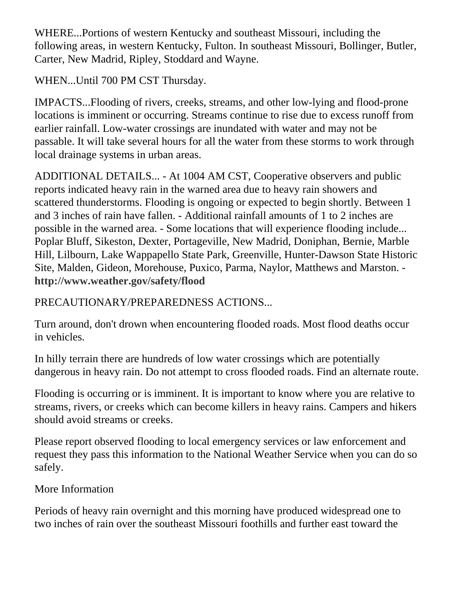WHERE...Portions of western Kentucky and southeast Missouri, including the following areas, in western Kentucky, Fulton. In southeast Missouri, Bollinger, Butler, Carter, New Madrid, Ripley, Stoddard and Wayne.

WHEN...Until 700 PM CST Thursday.

IMPACTS...Flooding of rivers, creeks, streams, and other low-lying and flood-prone locations is imminent or occurring. Streams continue to rise due to excess runoff from earlier rainfall. Low-water crossings are inundated with water and may not be passable. It will take several hours for all the water from these storms to work through local drainage systems in urban areas.

ADDITIONAL DETAILS... - At 1004 AM CST, Cooperative observers and public reports indicated heavy rain in the warned area due to heavy rain showers and scattered thunderstorms. Flooding is ongoing or expected to begin shortly. Between 1 and 3 inches of rain have fallen. - Additional rainfall amounts of 1 to 2 inches are possible in the warned area. - Some locations that will experience flooding include... Poplar Bluff, Sikeston, Dexter, Portageville, New Madrid, Doniphan, Bernie, Marble Hill, Lilbourn, Lake Wappapello State Park, Greenville, Hunter-Dawson State Historic Site, Malden, Gideon, Morehouse, Puxico, Parma, Naylor, Matthews and Marston. [http://www.weather.gov/safety/flood](http://www.weather.gov/safety/flood</p>
<p>PRECAUTIONARY/PREPAREDNESS)

## PRECAUTIONARY/PREPAREDNESS ACTIONS...

Turn around, don't drown when encountering flooded roads. Most flood deaths occur in vehicles.

In hilly terrain there are hundreds of low water crossings which are potentially dangerous in heavy rain. Do not attempt to cross flooded roads. Find an alternate route.

Flooding is occurring or is imminent. It is important to know where you are relative to streams, rivers, or creeks which can become killers in heavy rains. Campers and hikers should avoid streams or creeks.

Please report observed flooding to local emergency services or law enforcement and request they pass this information to the National Weather Service when you can do so safely.

## More Information

Periods of heavy rain overnight and this morning have produced widespread one to two inches of rain over the southeast Missouri foothills and further east toward the